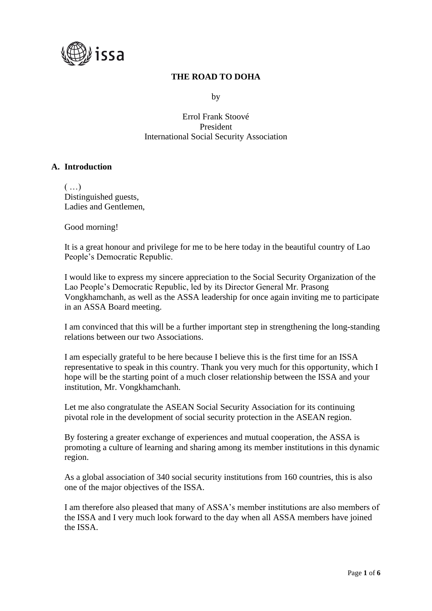

# **THE ROAD TO DOHA**

by

Errol Frank Stoové President International Social Security Association

### **A. Introduction**

 $\left( \ldots \right)$ Distinguished guests, Ladies and Gentlemen,

Good morning!

It is a great honour and privilege for me to be here today in the beautiful country of Lao People's Democratic Republic.

I would like to express my sincere appreciation to the Social Security Organization of the Lao People's Democratic Republic, led by its Director General Mr. Prasong Vongkhamchanh, as well as the ASSA leadership for once again inviting me to participate in an ASSA Board meeting.

I am convinced that this will be a further important step in strengthening the long-standing relations between our two Associations.

I am especially grateful to be here because I believe this is the first time for an ISSA representative to speak in this country. Thank you very much for this opportunity, which I hope will be the starting point of a much closer relationship between the ISSA and your institution, Mr. Vongkhamchanh.

Let me also congratulate the ASEAN Social Security Association for its continuing pivotal role in the development of social security protection in the ASEAN region.

By fostering a greater exchange of experiences and mutual cooperation, the ASSA is promoting a culture of learning and sharing among its member institutions in this dynamic region.

As a global association of 340 social security institutions from 160 countries, this is also one of the major objectives of the ISSA.

I am therefore also pleased that many of ASSA's member institutions are also members of the ISSA and I very much look forward to the day when all ASSA members have joined the ISSA.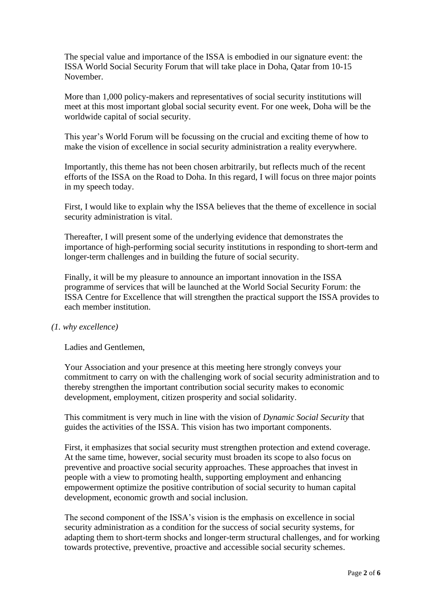The special value and importance of the ISSA is embodied in our signature event: the ISSA World Social Security Forum that will take place in Doha, Qatar from 10-15 November.

More than 1,000 policy-makers and representatives of social security institutions will meet at this most important global social security event. For one week, Doha will be the worldwide capital of social security.

This year's World Forum will be focussing on the crucial and exciting theme of how to make the vision of excellence in social security administration a reality everywhere.

Importantly, this theme has not been chosen arbitrarily, but reflects much of the recent efforts of the ISSA on the Road to Doha. In this regard, I will focus on three major points in my speech today.

First, I would like to explain why the ISSA believes that the theme of excellence in social security administration is vital.

Thereafter, I will present some of the underlying evidence that demonstrates the importance of high-performing social security institutions in responding to short-term and longer-term challenges and in building the future of social security.

Finally, it will be my pleasure to announce an important innovation in the ISSA programme of services that will be launched at the World Social Security Forum: the ISSA Centre for Excellence that will strengthen the practical support the ISSA provides to each member institution.

### *(1. why excellence)*

Ladies and Gentlemen,

Your Association and your presence at this meeting here strongly conveys your commitment to carry on with the challenging work of social security administration and to thereby strengthen the important contribution social security makes to economic development, employment, citizen prosperity and social solidarity.

This commitment is very much in line with the vision of *Dynamic Social Security* that guides the activities of the ISSA. This vision has two important components.

First, it emphasizes that social security must strengthen protection and extend coverage. At the same time, however, social security must broaden its scope to also focus on preventive and proactive social security approaches. These approaches that invest in people with a view to promoting health, supporting employment and enhancing empowerment optimize the positive contribution of social security to human capital development, economic growth and social inclusion.

The second component of the ISSA's vision is the emphasis on excellence in social security administration as a condition for the success of social security systems, for adapting them to short-term shocks and longer-term structural challenges, and for working towards protective, preventive, proactive and accessible social security schemes.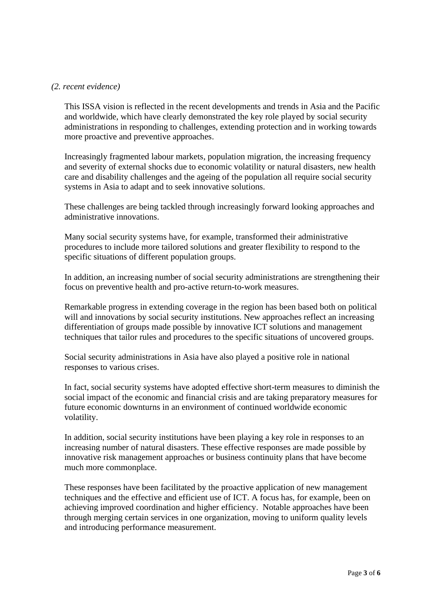#### *(2. recent evidence)*

This ISSA vision is reflected in the recent developments and trends in Asia and the Pacific and worldwide, which have clearly demonstrated the key role played by social security administrations in responding to challenges, extending protection and in working towards more proactive and preventive approaches.

Increasingly fragmented labour markets, population migration, the increasing frequency and severity of external shocks due to economic volatility or natural disasters, new health care and disability challenges and the ageing of the population all require social security systems in Asia to adapt and to seek innovative solutions.

These challenges are being tackled through increasingly forward looking approaches and administrative innovations.

Many social security systems have, for example, transformed their administrative procedures to include more tailored solutions and greater flexibility to respond to the specific situations of different population groups.

In addition, an increasing number of social security administrations are strengthening their focus on preventive health and pro-active return-to-work measures.

Remarkable progress in extending coverage in the region has been based both on political will and innovations by social security institutions. New approaches reflect an increasing differentiation of groups made possible by innovative ICT solutions and management techniques that tailor rules and procedures to the specific situations of uncovered groups.

Social security administrations in Asia have also played a positive role in national responses to various crises.

In fact, social security systems have adopted effective short-term measures to diminish the social impact of the economic and financial crisis and are taking preparatory measures for future economic downturns in an environment of continued worldwide economic volatility.

In addition, social security institutions have been playing a key role in responses to an increasing number of natural disasters. These effective responses are made possible by innovative risk management approaches or business continuity plans that have become much more commonplace.

These responses have been facilitated by the proactive application of new management techniques and the effective and efficient use of ICT. A focus has, for example, been on achieving improved coordination and higher efficiency. Notable approaches have been through merging certain services in one organization, moving to uniform quality levels and introducing performance measurement.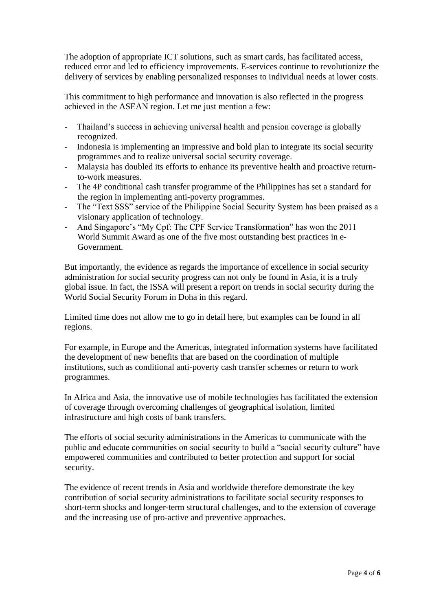The adoption of appropriate ICT solutions, such as smart cards, has facilitated access, reduced error and led to efficiency improvements. E-services continue to revolutionize the delivery of services by enabling personalized responses to individual needs at lower costs.

This commitment to high performance and innovation is also reflected in the progress achieved in the ASEAN region. Let me just mention a few:

- Thailand's success in achieving universal health and pension coverage is globally recognized.
- Indonesia is implementing an impressive and bold plan to integrate its social security programmes and to realize universal social security coverage.
- Malaysia has doubled its efforts to enhance its preventive health and proactive returnto-work measures.
- The 4P conditional cash transfer programme of the Philippines has set a standard for the region in implementing anti-poverty programmes.
- The "Text SSS" service of the Philippine Social Security System has been praised as a visionary application of technology.
- And Singapore's "My Cpf: The CPF Service Transformation" has won the 2011 World Summit Award as one of the five most outstanding best practices in e-Government.

But importantly, the evidence as regards the importance of excellence in social security administration for social security progress can not only be found in Asia, it is a truly global issue. In fact, the ISSA will present a report on trends in social security during the World Social Security Forum in Doha in this regard.

Limited time does not allow me to go in detail here, but examples can be found in all regions.

For example, in Europe and the Americas, integrated information systems have facilitated the development of new benefits that are based on the coordination of multiple institutions, such as conditional anti-poverty cash transfer schemes or return to work programmes.

In Africa and Asia, the innovative use of mobile technologies has facilitated the extension of coverage through overcoming challenges of geographical isolation, limited infrastructure and high costs of bank transfers.

The efforts of social security administrations in the Americas to communicate with the public and educate communities on social security to build a "social security culture" have empowered communities and contributed to better protection and support for social security.

The evidence of recent trends in Asia and worldwide therefore demonstrate the key contribution of social security administrations to facilitate social security responses to short-term shocks and longer-term structural challenges, and to the extension of coverage and the increasing use of pro-active and preventive approaches.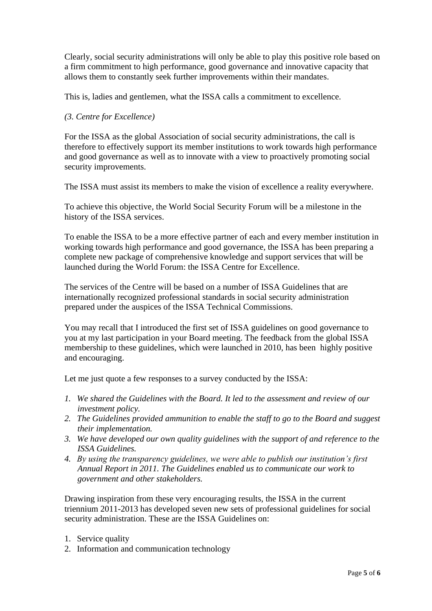Clearly, social security administrations will only be able to play this positive role based on a firm commitment to high performance, good governance and innovative capacity that allows them to constantly seek further improvements within their mandates.

This is, ladies and gentlemen, what the ISSA calls a commitment to excellence.

## *(3. Centre for Excellence)*

For the ISSA as the global Association of social security administrations, the call is therefore to effectively support its member institutions to work towards high performance and good governance as well as to innovate with a view to proactively promoting social security improvements.

The ISSA must assist its members to make the vision of excellence a reality everywhere.

To achieve this objective, the World Social Security Forum will be a milestone in the history of the ISSA services.

To enable the ISSA to be a more effective partner of each and every member institution in working towards high performance and good governance, the ISSA has been preparing a complete new package of comprehensive knowledge and support services that will be launched during the World Forum: the ISSA Centre for Excellence.

The services of the Centre will be based on a number of ISSA Guidelines that are internationally recognized professional standards in social security administration prepared under the auspices of the ISSA Technical Commissions.

You may recall that I introduced the first set of ISSA guidelines on good governance to you at my last participation in your Board meeting. The feedback from the global ISSA membership to these guidelines, which were launched in 2010, has been highly positive and encouraging.

Let me just quote a few responses to a survey conducted by the ISSA:

- *1. We shared the Guidelines with the Board. It led to the assessment and review of our investment policy.*
- *2. The Guidelines provided ammunition to enable the staff to go to the Board and suggest their implementation.*
- *3. We have developed our own quality guidelines with the support of and reference to the ISSA Guidelines.*
- *4. By using the transparency guidelines, we were able to publish our institution's first Annual Report in 2011. The Guidelines enabled us to communicate our work to government and other stakeholders.*

Drawing inspiration from these very encouraging results, the ISSA in the current triennium 2011-2013 has developed seven new sets of professional guidelines for social security administration. These are the ISSA Guidelines on:

- 1. Service quality
- 2. Information and communication technology